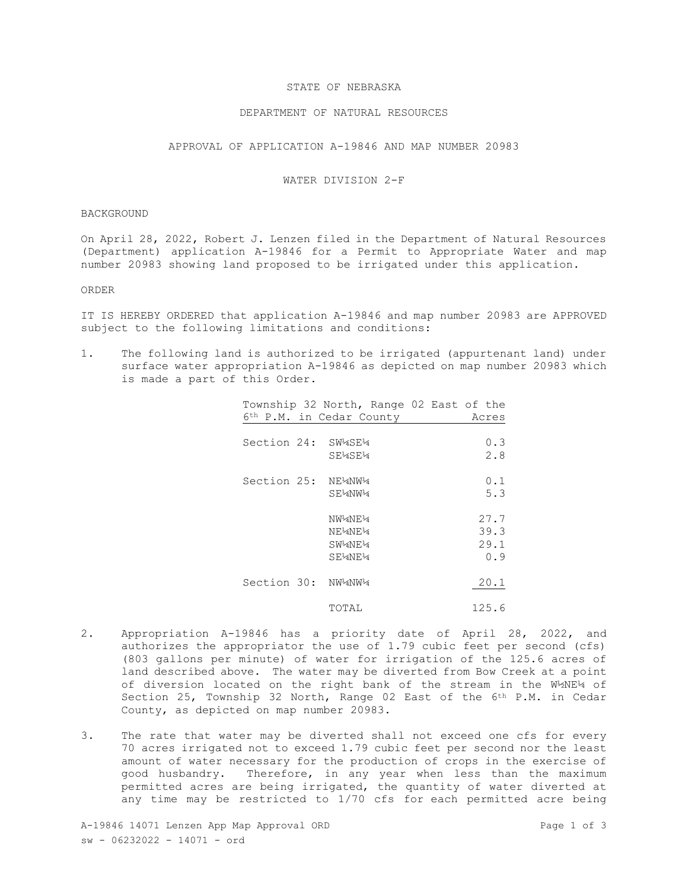## STATE OF NEBRASKA

# DEPARTMENT OF NATURAL RESOURCES

# APPROVAL OF APPLICATION A-19846 AND MAP NUMBER 20983

## WATER DIVISION 2-F

#### BACKGROUND

On April 28, 2022, Robert J. Lenzen filed in the Department of Natural Resources (Department) application A-19846 for a Permit to Appropriate Water and map number 20983 showing land proposed to be irrigated under this application.

#### ORDER

IT IS HEREBY ORDERED that application A-19846 and map number 20983 are APPROVED subject to the following limitations and conditions:

1. The following land is authorized to be irrigated (appurtenant land) under surface water appropriation A-19846 as depicted on map number 20983 which is made a part of this Order.

|                                               |         | Township 32 North, Range 02 East of the |
|-----------------------------------------------|---------|-----------------------------------------|
| 6 <sup>th</sup> P.M. in Cedar County<br>Acres |         |                                         |
|                                               |         |                                         |
| Section 24:                                   | SW4SE4  | 0.3                                     |
|                                               | SE¼SE¼  | 2.8                                     |
|                                               |         |                                         |
| Section 25:                                   | NE½NW¼  | 0.1                                     |
|                                               | SE¼NW¼  | 5.3                                     |
|                                               |         |                                         |
|                                               | NW4NE4  | 27.7                                    |
|                                               | NE¼NE¼  | 39.3                                    |
|                                               | SW4NE14 | 29.1                                    |
|                                               | SE¼NE¼  | 0.9                                     |
|                                               |         |                                         |
| Section 30: NW14NW14                          |         | 20.1                                    |
|                                               |         |                                         |
|                                               | TOTAL   | 125.6                                   |

- 2. Appropriation A-19846 has a priority date of April 28, 2022, and authorizes the appropriator the use of 1.79 cubic feet per second (cfs) (803 gallons per minute) of water for irrigation of the 125.6 acres of land described above. The water may be diverted from Bow Creek at a point of diversion located on the right bank of the stream in the W½NE¼ of Section 25, Township 32 North, Range 02 East of the 6th P.M. in Cedar County, as depicted on map number 20983.
- 3. The rate that water may be diverted shall not exceed one cfs for every 70 acres irrigated not to exceed 1.79 cubic feet per second nor the least amount of water necessary for the production of crops in the exercise of good husbandry.Therefore, in any year when less than the maximum permitted acres are being irrigated, the quantity of water diverted at any time may be restricted to 1/70 cfs for each permitted acre being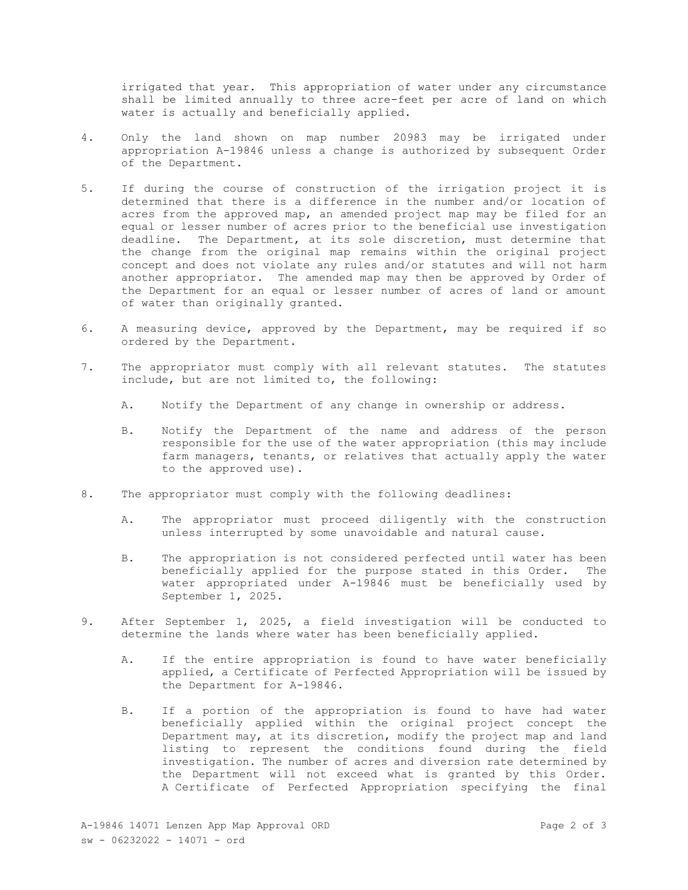irrigated that year. This appropriation of water under any circumstance shall be limited annually to three acre-feet per acre of land on which water is actually and beneficially applied.

- 4. Only the land shown on map number 20983 may be irrigated under appropriation A-19846 unless a change is authorized by subsequent Order of the Department.
- 5. If during the course of construction of the irrigation project it is determined that there is a difference in the number and/or location of acres from the approved map, an amended project map may be filed for an equal or lesser number of acres prior to the beneficial use investigation deadline. The Department, at its sole discretion, must determine that the change from the original map remains within the original project concept and does not violate any rules and/or statutes and will not harm another appropriator. The amended map may then be approved by Order of the Department for an equal or lesser number of acres of land or amount of water than originally granted.
- 6. A measuring device, approved by the Department, may be required if so ordered by the Department.
- 7. The appropriator must comply with all relevant statutes. The statutes include, but are not limited to, the following:
	- A. Notify the Department of any change in ownership or address.
	- B. Notify the Department of the name and address of the person responsible for the use of the water appropriation (this may include farm managers, tenants, or relatives that actually apply the water to the approved use).
- 8. The appropriator must comply with the following deadlines:
	- A. The appropriator must proceed diligently with the construction unless interrupted by some unavoidable and natural cause.
	- B. The appropriation is not considered perfected until water has been beneficially applied for the purpose stated in this Order. The water appropriated under A-19846 must be beneficially used by September 1, 2025.
- 9. After September 1, 2025, a field investigation will be conducted to determine the lands where water has been beneficially applied.
	- A. If the entire appropriation is found to have water beneficially applied, a Certificate of Perfected Appropriation will be issued by the Department for A-19846.
	- B. If a portion of the appropriation is found to have had water beneficially applied within the original project concept the Department may, at its discretion, modify the project map and land listing to represent the conditions found during the field investigation. The number of acres and diversion rate determined by the Department will not exceed what is granted by this Order. A Certificate of Perfected Appropriation specifying the final